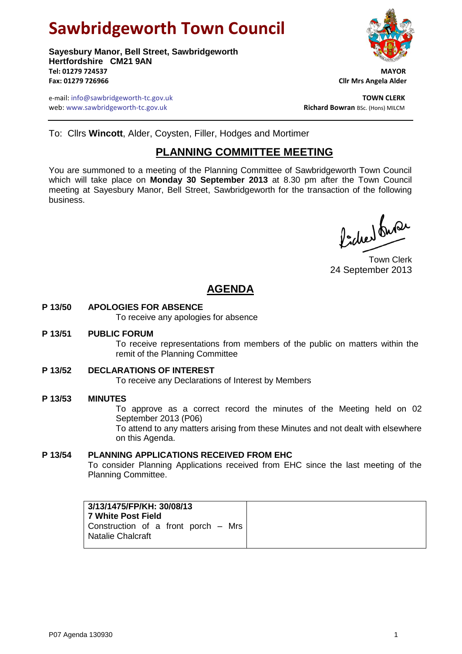# **Sawbridgeworth Town Council**

**Sayesbury Manor, Bell Street, Sawbridgeworth Hertfordshire CM21 9AN Tel: 01279 724537 MAYOR Fax: 01279 726966 Cllr Mrs Angela Alder**

e-mail: info@sawbridgeworth-tc.gov.uk<br>**Web:** www.sawbridgeworth-tc.gov.uk **TOWN CLERK**<br>**Richard Bowran** BSc. (Hons) MILCM web: www.sawbridgeworth-tc.gov.uk



To: Cllrs **Wincott**, Alder, Coysten, Filler, Hodges and Mortimer

# **PLANNING COMMITTEE MEETING**

You are summoned to a meeting of the Planning Committee of Sawbridgeworth Town Council which will take place on **Monday 30 September 2013** at 8.30 pm after the Town Council meeting at Sayesbury Manor, Bell Street, Sawbridgeworth for the transaction of the following business.

Picked fune

Town Clerk 24 September 2013

# **AGENDA**

# **P 13/50 APOLOGIES FOR ABSENCE**

To receive any apologies for absence

#### **P 13/51 PUBLIC FORUM**

To receive representations from members of the public on matters within the remit of the Planning Committee

# **P 13/52 DECLARATIONS OF INTEREST**

To receive any Declarations of Interest by Members

# **P 13/53 MINUTES**

To approve as a correct record the minutes of the Meeting held on 02 September 2013 (P06)

To attend to any matters arising from these Minutes and not dealt with elsewhere on this Agenda.

# **P 13/54 PLANNING APPLICATIONS RECEIVED FROM EHC**

To consider Planning Applications received from EHC since the last meeting of the Planning Committee.

| 3/13/1475/FP/KH: 30/08/13<br>l 7 White Post Field               |
|-----------------------------------------------------------------|
| Construction of a front porch – Mrs<br><b>Natalie Chalcraft</b> |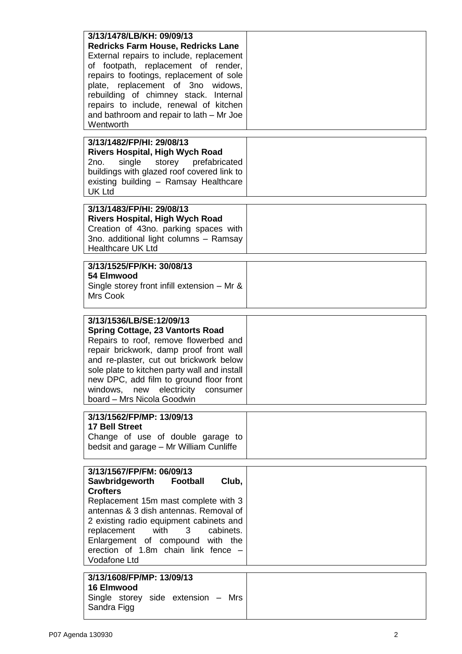| 3/13/1478/LB/KH: 09/09/13<br><b>Redricks Farm House, Redricks Lane</b><br>External repairs to include, replacement<br>of footpath, replacement of render,<br>repairs to footings, replacement of sole<br>plate, replacement of 3no widows,<br>rebuilding of chimney stack. Internal                                                                                    |  |
|------------------------------------------------------------------------------------------------------------------------------------------------------------------------------------------------------------------------------------------------------------------------------------------------------------------------------------------------------------------------|--|
| repairs to include, renewal of kitchen<br>and bathroom and repair to lath – Mr Joe<br>Wentworth                                                                                                                                                                                                                                                                        |  |
| 3/13/1482/FP/HI: 29/08/13<br><b>Rivers Hospital, High Wych Road</b><br>single<br>2no.<br>storey prefabricated<br>buildings with glazed roof covered link to<br>existing building - Ramsay Healthcare<br><b>UK Ltd</b>                                                                                                                                                  |  |
| 3/13/1483/FP/HI: 29/08/13<br><b>Rivers Hospital, High Wych Road</b><br>Creation of 43no. parking spaces with<br>3no. additional light columns - Ramsay<br><b>Healthcare UK Ltd</b>                                                                                                                                                                                     |  |
| 3/13/1525/FP/KH: 30/08/13<br>54 Elmwood<br>Single storey front infill extension $-$ Mr &<br>Mrs Cook                                                                                                                                                                                                                                                                   |  |
| 3/13/1536/LB/SE:12/09/13<br><b>Spring Cottage, 23 Vantorts Road</b><br>Repairs to roof, remove flowerbed and<br>repair brickwork, damp proof front wall<br>and re-plaster, cut out brickwork below<br>sole plate to kitchen party wall and install<br>new DPC, add film to ground floor front<br>new electricity<br>windows,<br>consumer<br>board - Mrs Nicola Goodwin |  |
| 3/13/1562/FP/MP: 13/09/13<br><b>17 Bell Street</b><br>Change of use of double garage to<br>bedsit and garage - Mr William Cunliffe                                                                                                                                                                                                                                     |  |
| 3/13/1567/FP/FM: 06/09/13<br>Sawbridgeworth<br>Football<br>Club,<br><b>Crofters</b><br>Replacement 15m mast complete with 3<br>antennas & 3 dish antennas. Removal of<br>2 existing radio equipment cabinets and<br>replacement<br>with<br>3<br>cabinets.<br>Enlargement of compound with the<br>erection of 1.8m chain link fence -<br>Vodafone Ltd                   |  |
| 3/13/1608/FP/MP: 13/09/13<br><b>16 Elmwood</b><br>Single storey side extension - Mrs<br>Sandra Figg                                                                                                                                                                                                                                                                    |  |